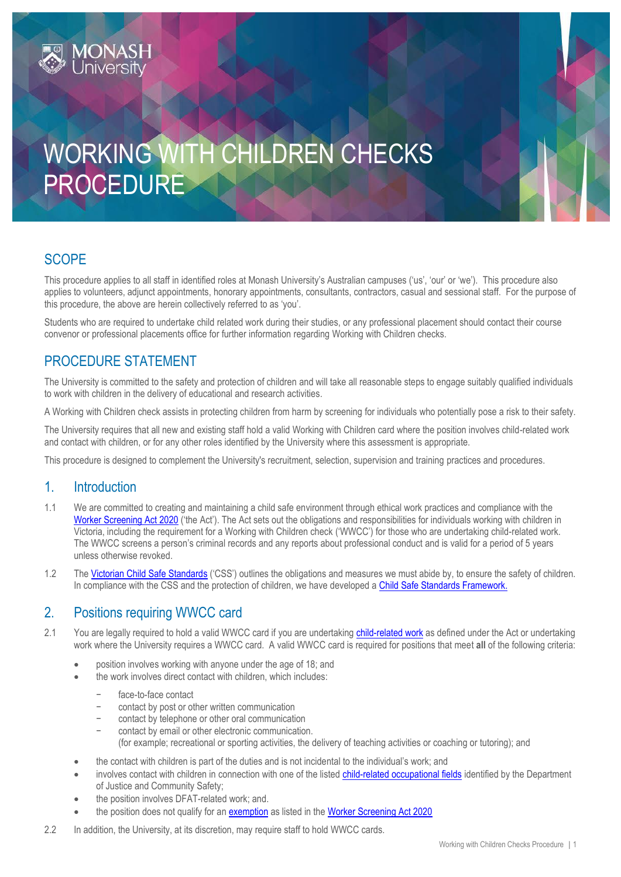# WORKING WITH CHILDREN CHECKS PROCEDURE

# **SCOPE**

This procedure applies to all staff in identified roles at Monash University's Australian campuses ('us', 'our' or 'we'). This procedure also applies to volunteers, adjunct appointments, honorary appointments, consultants, contractors, casual and sessional staff. For the purpose of this procedure, the above are herein collectively referred to as 'you'.

Students who are required to undertake child related work during their studies, or any professional placement should contact their course convenor or professional placements office for further information regarding Working with Children checks.

# PROCEDURE STATEMENT

**MONASH**<br>University

The University is committed to the safety and protection of children and will take all reasonable steps to engage suitably qualified individuals to work with children in the delivery of educational and research activities.

A Working with Children check assists in protecting children from harm by screening for individuals who potentially pose a risk to their safety.

The University requires that all new and existing staff hold a valid Working with Children card where the position involves child-related work and contact with children, or for any other roles identified by the University where this assessment is appropriate.

This procedure is designed to complement the University's recruitment, selection, supervision and training practices and procedures.

### 1. Introduction

- 1.1 We are committed to creating and maintaining a child safe environment through ethical work practices and compliance with the [Worker Screening Act 2020](https://www.legislation.vic.gov.au/as-made/acts/worker-screening-act-2020) ('the Act'). The Act sets out the obligations and responsibilities for individuals working with children in Victoria, including the requirement for a Working with Children check ('WWCC') for those who are undertaking child-related work. The WWCC screens a person's criminal records and any reports about professional conduct and is valid for a period of 5 years unless otherwise revoked.
- 1.2 Th[e Victorian Child Safe Standards](http://www.education.vic.gov.au/about/programs/health/protect/Pages/default.aspx) ('CSS') outlines the obligations and measures we must abide by, to ensure the safety of children. In compliance with the CSS and the protection of children, we have developed [a Child Safe Standards Framework.](https://www.monash.edu/about/a-culture-of-integrity-and-respect/behaviour-expectations-at-monash)

## 2. Positions requiring WWCC card

- 2.1 You are legally required to hold a valid WWCC card if you are undertakin[g child-related work](http://www.workingwithchildren.vic.gov.au/home/about+the+check/who+needs+a+check/) as defined under the Act or undertaking work where the University requires a WWCC card. A valid WWCC card is required for positions that meet **all** of the following criteria:
	- position involves working with anyone under the age of 18; and
	- the work involves direct contact with children, which includes:
		- face-to-face contact
		- contact by post or other written communication
		- contact by telephone or other oral communication
		- − contact by email or other electronic communication. (for example; recreational or sporting activities, the delivery of teaching activities or coaching or tutoring); and
	- the contact with children is part of the duties and is not incidental to the individual's work; and
	- involves contact with children in connection with one of the liste[d child-related occupational fields](https://www.workingwithchildren.vic.gov.au/about-the-check/when-you-need-a-check) identified by the Department of Justice and Community Safety;
	- the position involves DFAT-related work; and.
	- the position does not qualify for a[n exemption](https://www.workingwithchildren.vic.gov.au/about-the-check/when-you-dont-need-a-check) as listed in the [Worker Screening Act 2020](https://www.legislation.vic.gov.au/as-made/acts/worker-screening-act-2020)
- 2.2 In addition, the University, at its discretion, may require staff to hold WWCC cards.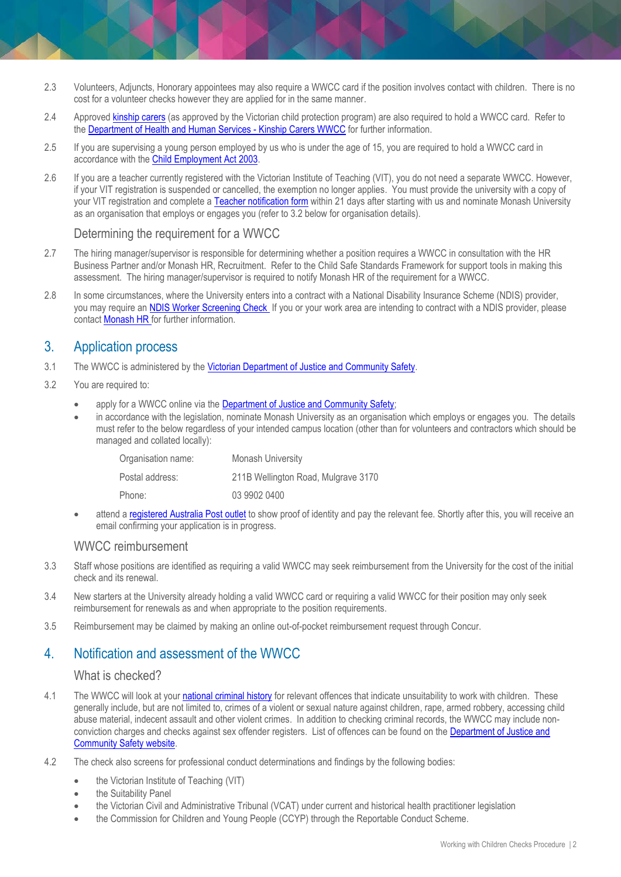- 2.3 Volunteers, Adjuncts, Honorary appointees may also require a WWCC card if the position involves contact with children. There is no cost for a volunteer checks however they are applied for in the same manner.
- 2.4 Approved [kinship carers](https://services.dhhs.vic.gov.au/kinship-care) (as approved by the Victorian child protection program) are also required to hold a WWCC card. Refer to th[e Department of Health and Human Services -](https://services.dhhs.vic.gov.au/kinship-care) Kinship Carers WWCC for further information.
- 2.5 If you are supervising a young person employed by us who is under the age of 15, you are required to hold a WWCC card in accordance with the [Child Employment Act 2003.](http://www.austlii.edu.au/cgi-bin/viewdb/au/legis/vic/consol_act/cea2003180/)
- 2.6 If you are a teacher currently registered with the Victorian Institute of Teaching (VIT), you do not need a separate WWCC. However, if your VIT registration is suspended or cancelled, the exemption no longer applies. You must provide the university with a copy of your VIT registration and complete [a Teacher notification form](https://service.vic.gov.au/services/teachers-notifications/) within 21 days after starting with us and nominate Monash University as an organisation that employs or engages you (refer to 3.2 below for organisation details).

#### Determining the requirement for a WWCC

- 2.7 The hiring manager/supervisor is responsible for determining whether a position requires a WWCC in consultation with the HR Business Partner and/or Monash HR, Recruitment. Refer to the Child Safe Standards Framework for support tools in making this assessment. The hiring manager/supervisor is required to notify Monash HR of the requirement for a WWCC.
- 2.8 In some circumstances, where the University enters into a contract with a National Disability Insurance Scheme (NDIS) provider, you may require a[n NDIS Worker Screening Check I](https://www.vic.gov.au/ndis-worker-screening-check)f you or your work area are intending to contract with a NDIS provider, please contact [Monash HR f](mailto:hr@monash.edu)or further information.

#### 3. Application process

- 3.1 The WWCC is administered by the [Victorian Department of Justice and Community Safety.](http://www.workingwithchildren.vic.gov.au/)
- 3.2 You are required to:
	- apply for a WWCC online via the [Department of Justice and Community Safety;](https://www.workingwithchildren.vic.gov.au/individuals/applicants/how-to-apply)
	- in accordance with the legislation, nominate Monash University as an organisation which employs or engages you. The details must refer to the below regardless of your intended campus location (other than for volunteers and contractors which should be managed and collated locally):

| <b>Monash University</b>            |
|-------------------------------------|
| 211B Wellington Road, Mulgrave 3170 |
| 03 9902 0400                        |
|                                     |

 attend a [registered Australia Post outlet](http://auspost.com.au/pol/app/locate/post-office/working-with-children-check-vic) to show proof of identity and pay the relevant fee. Shortly after this, you will receive an email confirming your application is in progress.

#### WWCC reimbursement

- 3.3 Staff whose positions are identified as requiring a valid WWCC may seek reimbursement from the University for the cost of the initial check and its renewal.
- 3.4 New starters at the University already holding a valid WWCC card or requiring a valid WWCC for their position may only seek reimbursement for renewals as and when appropriate to the position requirements.
- 3.5 Reimbursement may be claimed by making an online out-of-pocket reimbursement request through Concur.

#### 4. Notification and assessment of the WWCC

#### What is checked?

- 4.1 The WWCC will look at your [national criminal history](https://www.workingwithchildren.vic.gov.au/individuals/applicants/things-you-need-to-know) for relevant offences that indicate unsuitability to work with children. These generally include, but are not limited to, crimes of a violent or sexual nature against children, rape, armed robbery, accessing child abuse material, indecent assault and other violent crimes. In addition to checking criminal records, the WWCC may include nonconviction charges and checks against sex offender registers. List of offences can be found on the Department of Justice and [Community Safety website.](https://www.workingwithchildren.vic.gov.au/about-the-check/resources/list-of-offences)
- 4.2 The check also screens for professional conduct determinations and findings by the following bodies:
	- the [Victorian Institute of Teaching](http://www.vit.vic.edu.au/) (VIT)
	- the [Suitability Panel](http://www.suitabilitypanel.vic.gov.au/)
	- the [Victorian Civil and Administrative](https://www.vcat.vic.gov.au/) [Tribunal](https://www.vcat.vic.gov.au/) (VCAT) under current and historical health practitioner legislation
	- the [Commission for Children and Young People](https://ccyp.vic.gov.au/) (CCYP) through the [Reportable Conduct Scheme.](https://ccyp.vic.gov.au/reportable-conduct-scheme/)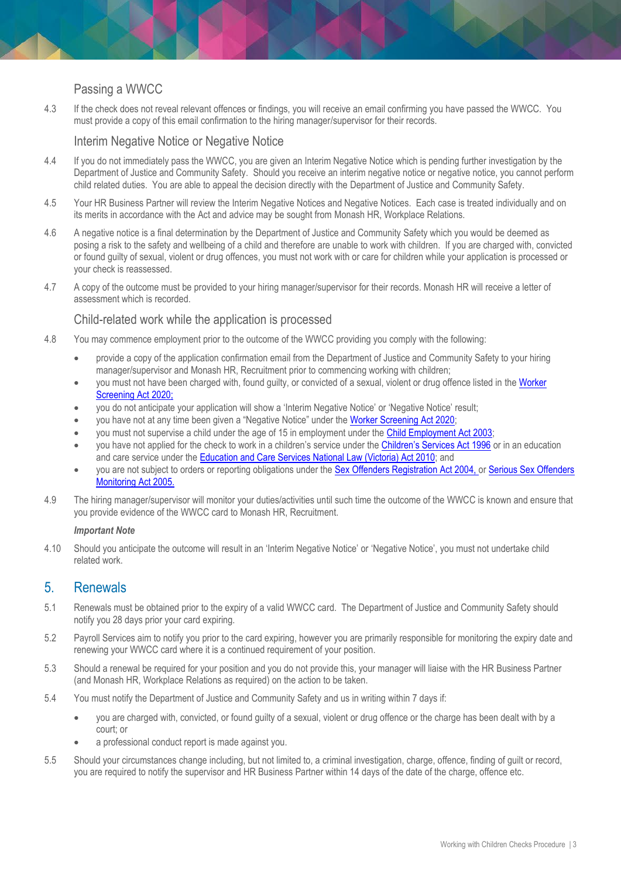#### Passing a WWCC

4.3 If the check does not reveal relevant offences or findings, you will receive an email confirming you have passed the WWCC. You must provide a copy of this email confirmation to the hiring manager/supervisor for their records.

#### Interim Negative Notice or Negative Notice

- 4.4 If you do not immediately pass the WWCC, you are given an Interim Negative Notice which is pending further investigation by the Department of Justice and Community Safety. Should you receive an interim negative notice or negative notice, you cannot perform child related duties. You are able to appeal the decision directly with the Department of Justice and Community Safety.
- 4.5 Your HR Business Partner will review the Interim Negative Notices and Negative Notices. Each case is treated individually and on its merits in accordance with the Act and advice may be sought from Monash HR, Workplace Relations.
- 4.6 A negative notice is a final determination by the Department of Justice and Community Safety which you would be deemed as posing a risk to the safety and wellbeing of a child and therefore are unable to work with children. If you are charged with, convicted or found guilty of sexual, violent or drug offences, you must not work with or care for children while your application is processed or your check is reassessed.
- 4.7 A copy of the outcome must be provided to your hiring manager/supervisor for their records. Monash HR will receive a letter of assessment which is recorded.

#### Child-related work while the application is processed

- 4.8 You may commence employment prior to the outcome of the WWCC providing you comply with the following:
	- provide a copy of the application confirmation email from the Department of Justice and Community Safety to your hiring manager/supervisor and Monash HR, Recruitment prior to commencing working with children;
	- you must not have been charged with, found quilty, or convicted of a sexual, violent or drug offence listed in the Worker [Screening Act 2020](https://www.legislation.vic.gov.au/as-made/acts/worker-screening-act-2020)[;](http://www.austlii.edu.au/au/legis/vic/consol_act/wwca2005232/sch3.html)
	- you do not anticipate your application will show a 'Interim Negative Notice' or 'Negative Notice' result;
	- you have not at any time been given a "Negative Notice" under the [Worker Screening Act 2020;](https://www.legislation.vic.gov.au/as-made/acts/worker-screening-act-2020)
	- you must not supervise a child under the age of 15 in employment under the [Child Employment Act 2003;](http://www.austlii.edu.au/au/legis/vic/consol_act/cea2003180/)
	- you have not applied for the check to work in a children's service under th[e Children's Services Act 1996](http://www.education.vic.gov.au/Documents/childhood/providers/regulation/childservicesact96.pdf) or in an education and care service under th[e Education and Care Services National Law \(Victoria\) Act 2010;](http://www.legislation.vic.gov.au/Domino/Web_Notes/LDMS/PubStatbook.nsf/51dea49770555ea6ca256da4001b90cd/B73164FE5DA2112DCA2577BA0014D9ED/$FILE/10-069a.pdf) and
	- you are not subject to orders or reporting obligations under the [Sex Offenders Registration Act 2004,](http://www.austlii.edu.au/au/legis/vic/consol_act/sora2004292/) or [Serious Sex Offenders](http://www.austlii.edu.au/au/legis/vic/num_act/ssoma20051o2005418/)  [Monitoring Act 2005.](http://www.austlii.edu.au/au/legis/vic/num_act/ssoma20051o2005418/)
- 4.9 The hiring manager/supervisor will monitor your duties/activities until such time the outcome of the WWCC is known and ensure that you provide evidence of the WWCC card to Monash HR, Recruitment.

#### *Important Note*

4.10 Should you anticipate the outcome will result in an 'Interim Negative Notice' or 'Negative Notice', you must not undertake child related work.

#### 5. Renewals

- 5.1 Renewals must be obtained prior to the expiry of a valid WWCC card. The Department of Justice and Community Safety should notify you 28 days prior your card expiring.
- 5.2 Payroll Services aim to notify you prior to the card expiring, however you are primarily responsible for monitoring the expiry date and renewing your WWCC card where it is a continued requirement of your position.
- 5.3 Should a renewal be required for your position and you do not provide this, your manager will liaise with the HR Business Partner (and Monash HR, Workplace Relations as required) on the action to be taken.
- 5.4 You must notify the Department of Justice and Community Safety and us in writing within 7 days if:
	- you are charged with, convicted, or found guilty of a sexual, violent or drug offence or the charge has been dealt with by a court; or
	- a professional conduct report is made against you.
- 5.5 Should your circumstances change including, but not limited to, a criminal investigation, charge, offence, finding of guilt or record, you are required to notify the supervisor and HR Business Partner within 14 days of the date of the charge, offence etc.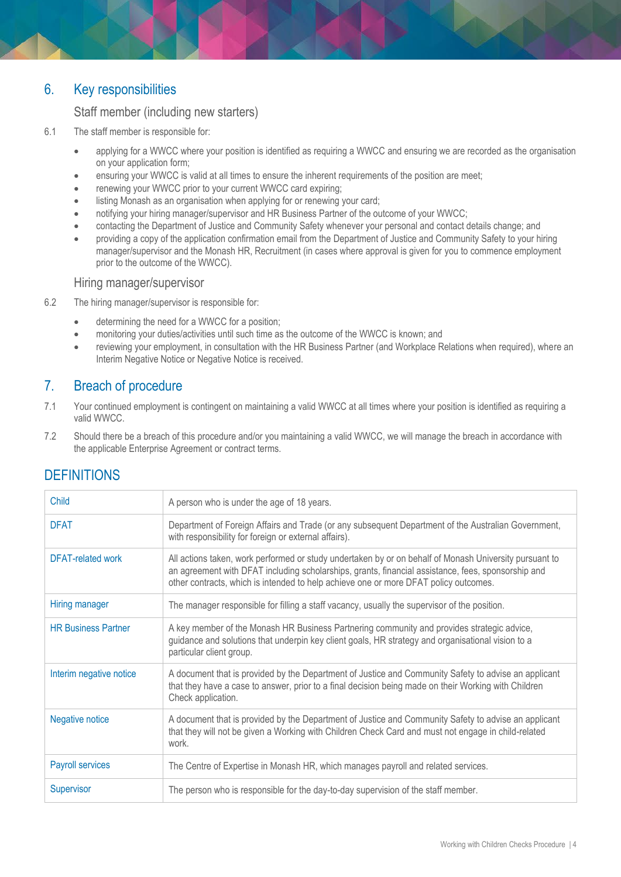# 6. Key responsibilities

#### Staff member (including new starters)

- 6.1 The staff member is responsible for:
	- applying for a WWCC where your position is identified as requiring a WWCC and ensuring we are recorded as the organisation on your application form;
	- ensuring your WWCC is valid at all times to ensure the inherent requirements of the position are meet;
	- renewing your WWCC prior to your current WWCC card expiring;
	- listing Monash as an organisation when applying for or renewing your card;
	- notifying your hiring manager/supervisor and HR Business Partner of the outcome of your WWCC;
	- contacting the Department of Justice and Community Safety whenever your personal and contact details change; and
	- providing a copy of the application confirmation email from the Department of Justice and Community Safety to your hiring manager/supervisor and the Monash HR, Recruitment (in cases where approval is given for you to commence employment prior to the outcome of the WWCC).

#### Hiring manager/supervisor

- 6.2 The hiring manager/supervisor is responsible for:
	- determining the need for a WWCC for a position;
	- monitoring your duties/activities until such time as the outcome of the WWCC is known; and
	- reviewing your employment, in consultation with the HR Business Partner (and Workplace Relations when required), where an Interim Negative Notice or Negative Notice is received.

## 7. Breach of procedure

- 7.1 Your continued employment is contingent on maintaining a valid WWCC at all times where your position is identified as requiring a valid WWCC.
- 7.2 Should there be a breach of this procedure and/or you maintaining a valid WWCC, we will manage the breach in accordance with the applicable Enterprise Agreement or contract terms.

| Child                      | A person who is under the age of 18 years.                                                                                                                                                                                                                                                           |
|----------------------------|------------------------------------------------------------------------------------------------------------------------------------------------------------------------------------------------------------------------------------------------------------------------------------------------------|
| <b>DFAT</b>                | Department of Foreign Affairs and Trade (or any subsequent Department of the Australian Government,<br>with responsibility for foreign or external affairs).                                                                                                                                         |
| <b>DFAT-related work</b>   | All actions taken, work performed or study undertaken by or on behalf of Monash University pursuant to<br>an agreement with DFAT including scholarships, grants, financial assistance, fees, sponsorship and<br>other contracts, which is intended to help achieve one or more DFAT policy outcomes. |
| Hiring manager             | The manager responsible for filling a staff vacancy, usually the supervisor of the position.                                                                                                                                                                                                         |
| <b>HR Business Partner</b> | A key member of the Monash HR Business Partnering community and provides strategic advice,<br>guidance and solutions that underpin key client goals, HR strategy and organisational vision to a<br>particular client group.                                                                          |
| Interim negative notice    | A document that is provided by the Department of Justice and Community Safety to advise an applicant<br>that they have a case to answer, prior to a final decision being made on their Working with Children<br>Check application.                                                                   |
| Negative notice            | A document that is provided by the Department of Justice and Community Safety to advise an applicant<br>that they will not be given a Working with Children Check Card and must not engage in child-related<br>work.                                                                                 |
| <b>Payroll services</b>    | The Centre of Expertise in Monash HR, which manages payroll and related services.                                                                                                                                                                                                                    |
| Supervisor                 | The person who is responsible for the day-to-day supervision of the staff member.                                                                                                                                                                                                                    |

# **DEFINITIONS**